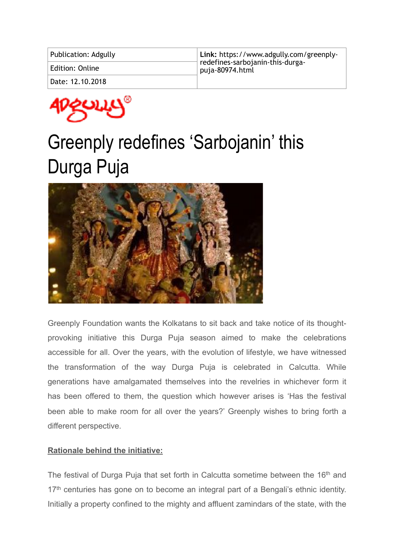| Publication: Adgully | Link: https://www.adgully.com/greenply-                           |
|----------------------|-------------------------------------------------------------------|
| Edition: Online      | $\dagger$ redefines-sarbojanin-this-durga-<br>$ $ puja-80974.html |
| Date: 12.10.2018     |                                                                   |



## Greenply redefines 'Sarbojanin' this Durga Puja



Greenply Foundation wants the Kolkatans to sit back and take notice of its thoughtprovoking initiative this Durga Puja season aimed to make the celebrations accessible for all. Over the years, with the evolution of lifestyle, we have witnessed the transformation of the way Durga Puja is celebrated in Calcutta. While generations have amalgamated themselves into the revelries in whichever form it has been offered to them, the question which however arises is 'Has the festival been able to make room for all over the years?' Greenply wishes to bring forth a different perspective.

## **Rationale behind the initiative:**

The festival of Durga Puja that set forth in Calcutta sometime between the 16<sup>th</sup> and 17<sup>th</sup> centuries has gone on to become an integral part of a Bengali's ethnic identity. Initially a property confined to the mighty and affluent zamindars of the state, with the